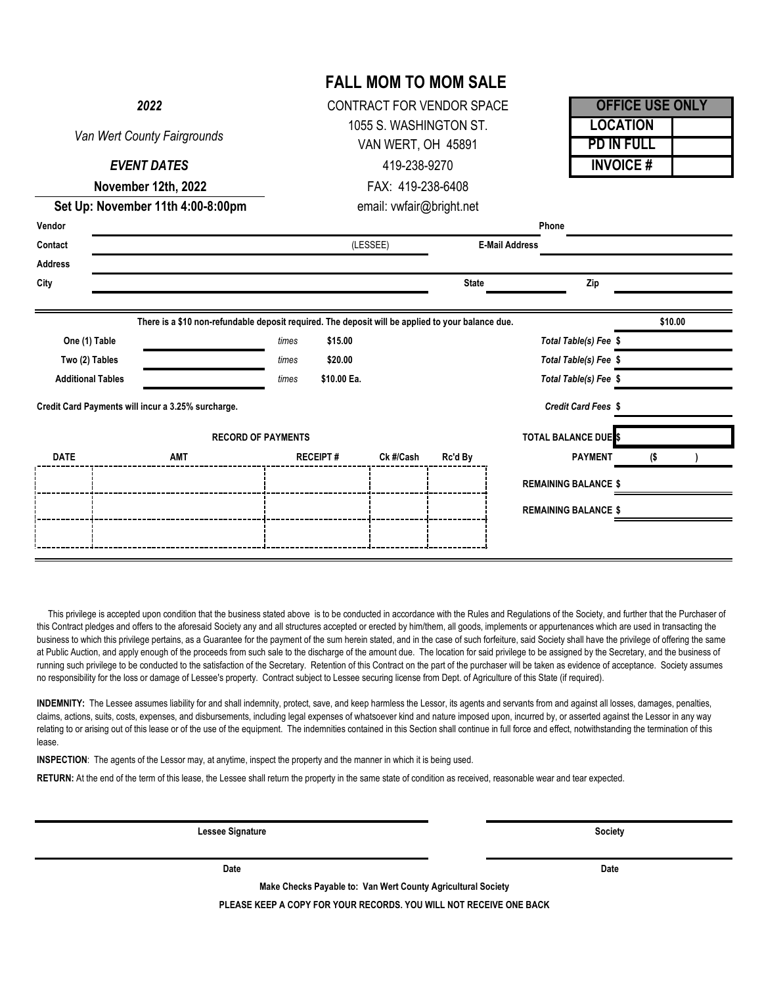| 2022<br>Van Wert County Fairgrounds<br><b>EVENT DATES</b><br>November 12th, 2022<br>Set Up: November 11th 4:00-8:00pm |            |                           | CONTRACT FOR VENDOR SPACE<br>1055 S. WASHINGTON ST.<br>VAN WERT, OH 45891<br>419-238-9270<br>FAX: 419-238-6408 |           |                       |                                                                         | <b>OFFICE USE ONLY</b>               |  |  |
|-----------------------------------------------------------------------------------------------------------------------|------------|---------------------------|----------------------------------------------------------------------------------------------------------------|-----------|-----------------------|-------------------------------------------------------------------------|--------------------------------------|--|--|
|                                                                                                                       |            |                           |                                                                                                                |           |                       |                                                                         | <b>LOCATION</b><br><b>PD IN FULL</b> |  |  |
|                                                                                                                       |            |                           |                                                                                                                |           |                       |                                                                         | <b>INVOICE#</b>                      |  |  |
|                                                                                                                       |            |                           |                                                                                                                |           |                       |                                                                         |                                      |  |  |
|                                                                                                                       |            |                           | email: vwfair@bright.net                                                                                       |           |                       |                                                                         |                                      |  |  |
| Vendor                                                                                                                |            |                           |                                                                                                                |           |                       | Phone                                                                   |                                      |  |  |
| Contact                                                                                                               |            |                           | (LESSEE)                                                                                                       |           | <b>E-Mail Address</b> |                                                                         |                                      |  |  |
| Address                                                                                                               |            |                           |                                                                                                                |           |                       |                                                                         |                                      |  |  |
| City                                                                                                                  |            |                           |                                                                                                                |           | <b>State</b>          | Zip                                                                     |                                      |  |  |
| One (1) Table<br>Two (2) Tables<br><b>Additional Tables</b>                                                           |            | times<br>times            | \$15.00<br>times<br>\$20.00<br>\$10.00 Ea.                                                                     |           |                       | Total Table(s) Fee \$<br>Total Table(s) Fee \$<br>Total Table(s) Fee \$ |                                      |  |  |
| Credit Card Payments will incur a 3.25% surcharge.                                                                    |            |                           |                                                                                                                |           |                       |                                                                         |                                      |  |  |
|                                                                                                                       |            |                           |                                                                                                                |           |                       | Credit Card Fees \$                                                     |                                      |  |  |
|                                                                                                                       |            | <b>RECORD OF PAYMENTS</b> |                                                                                                                |           |                       | <b>TOTAL BALANCE DUE</b> S                                              |                                      |  |  |
| <b>DATE</b>                                                                                                           | <b>AMT</b> |                           | <b>RECEIPT#</b>                                                                                                | Ck #/Cash | Rc'd By               | <b>PAYMENT</b>                                                          | (\$                                  |  |  |
|                                                                                                                       |            |                           |                                                                                                                |           |                       | <b>REMAINING BALANCE \$</b>                                             |                                      |  |  |
|                                                                                                                       |            |                           |                                                                                                                |           |                       | <b>REMAINING BALANCE \$</b>                                             |                                      |  |  |

This privilege is accepted upon condition that the business stated above is to be conducted in accordance with the Rules and Regulations of the Society, and further that the Purchaser of this Contract pledges and offers to the aforesaid Society any and all structures accepted or erected by him/them, all goods, implements or appurtenances which are used in transacting the business to which this privilege pertains, as a Guarantee for the payment of the sum herein stated, and in the case of such forfeiture, said Society shall have the privilege of offering the same at Public Auction, and apply enough of the proceeds from such sale to the discharge of the amount due. The location for said privilege to be assigned by the Secretary, and the business of running such privilege to be conducted to the satisfaction of the Secretary. Retention of this Contract on the part of the purchaser will be taken as evidence of acceptance. Society assumes no responsibility for the loss or damage of Lessee's property. Contract subject to Lessee securing license from Dept. of Agriculture of this State (if required).

**INDEMNITY:** The Lessee assumes liability for and shall indemnity, protect, save, and keep harmless the Lessor, its agents and servants from and against all losses, damages, penalties, claims, actions, suits, costs, expenses, and disbursements, including legal expenses of whatsoever kind and nature imposed upon, incurred by, or asserted against the Lessor in any way relating to or arising out of this lease or of the use of the equipment. The indemnities contained in this Section shall continue in full force and effect, notwithstanding the termination of this lease.

**INSPECTION**: The agents of the Lessor may, at anytime, inspect the property and the manner in which it is being used.

**RETURN:** At the end of the term of this lease, the Lessee shall return the property in the same state of condition as received, reasonable wear and tear expected.

**Lessee Signature Society**

**Date Date**

**Make Checks Payable to: Van Wert County Agricultural Society**

**PLEASE KEEP A COPY FOR YOUR RECORDS. YOU WILL NOT RECEIVE ONE BACK**